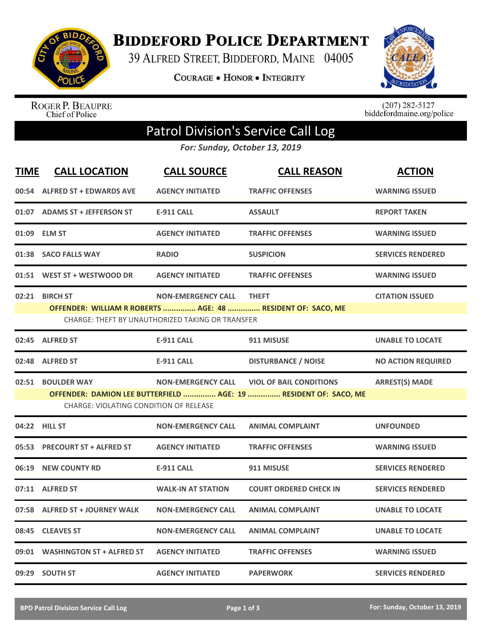

**BIDDEFORD POLICE DEPARTMENT** 

39 ALFRED STREET, BIDDEFORD, MAINE 04005

**COURAGE . HONOR . INTEGRITY** 



ROGER P. BEAUPRE<br>Chief of Police

 $(207)$  282-5127<br>biddefordmaine.org/police

## Patrol Division's Service Call Log

*For: Sunday, October 13, 2019*

| <b>TIME</b> | <b>CALL LOCATION</b>                                                                                                                                                                                                           | <b>CALL SOURCE</b>                                                            | <b>CALL REASON</b>                                                          | <b>ACTION</b>             |  |  |
|-------------|--------------------------------------------------------------------------------------------------------------------------------------------------------------------------------------------------------------------------------|-------------------------------------------------------------------------------|-----------------------------------------------------------------------------|---------------------------|--|--|
|             | 00:54 ALFRED ST + EDWARDS AVE                                                                                                                                                                                                  | <b>AGENCY INITIATED</b>                                                       | <b>TRAFFIC OFFENSES</b>                                                     | <b>WARNING ISSUED</b>     |  |  |
|             | 01:07 ADAMS ST + JEFFERSON ST                                                                                                                                                                                                  | <b>E-911 CALL</b>                                                             | <b>ASSAULT</b>                                                              | <b>REPORT TAKEN</b>       |  |  |
|             | 01:09 ELM ST                                                                                                                                                                                                                   | <b>AGENCY INITIATED</b>                                                       | <b>TRAFFIC OFFENSES</b>                                                     | <b>WARNING ISSUED</b>     |  |  |
|             | 01:38 SACO FALLS WAY                                                                                                                                                                                                           | <b>RADIO</b>                                                                  | <b>SUSPICION</b>                                                            | <b>SERVICES RENDERED</b>  |  |  |
|             | 01:51 WEST ST + WESTWOOD DR                                                                                                                                                                                                    | <b>AGENCY INITIATED</b>                                                       | <b>TRAFFIC OFFENSES</b>                                                     | <b>WARNING ISSUED</b>     |  |  |
|             | 02:21 BIRCH ST                                                                                                                                                                                                                 | <b>NON-EMERGENCY CALL</b><br>CHARGE: THEFT BY UNAUTHORIZED TAKING OR TRANSFER | <b>THEFT</b><br>OFFENDER: WILLIAM R ROBERTS  AGE: 48  RESIDENT OF: SACO, ME | <b>CITATION ISSUED</b>    |  |  |
|             | 02:45 ALFRED ST                                                                                                                                                                                                                | <b>E-911 CALL</b>                                                             | 911 MISUSE                                                                  | <b>UNABLE TO LOCATE</b>   |  |  |
|             | 02:48 ALFRED ST                                                                                                                                                                                                                | <b>E-911 CALL</b>                                                             | <b>DISTURBANCE / NOISE</b>                                                  | <b>NO ACTION REQUIRED</b> |  |  |
|             | 02:51 BOULDER WAY<br><b>NON-EMERGENCY CALL</b><br><b>VIOL OF BAIL CONDITIONS</b><br><b>ARREST(S) MADE</b><br>OFFENDER: DAMION LEE BUTTERFIELD  AGE: 19  RESIDENT OF: SACO, ME<br><b>CHARGE: VIOLATING CONDITION OF RELEASE</b> |                                                                               |                                                                             |                           |  |  |
|             | 04:22 HILL ST                                                                                                                                                                                                                  | <b>NON-EMERGENCY CALL</b>                                                     | <b>ANIMAL COMPLAINT</b>                                                     | <b>UNFOUNDED</b>          |  |  |
|             | 05:53 PRECOURT ST + ALFRED ST                                                                                                                                                                                                  | <b>AGENCY INITIATED</b>                                                       | <b>TRAFFIC OFFENSES</b>                                                     | <b>WARNING ISSUED</b>     |  |  |
|             | 06:19 NEW COUNTY RD                                                                                                                                                                                                            | <b>E-911 CALL</b>                                                             | 911 MISUSE                                                                  | <b>SERVICES RENDERED</b>  |  |  |
|             | 07:11 ALFRED ST                                                                                                                                                                                                                | <b>WALK-IN AT STATION</b>                                                     | <b>COURT ORDERED CHECK IN</b>                                               | <b>SERVICES RENDERED</b>  |  |  |
|             | 07:58 ALFRED ST + JOURNEY WALK                                                                                                                                                                                                 | <b>NON-EMERGENCY CALL</b>                                                     | <b>ANIMAL COMPLAINT</b>                                                     | <b>UNABLE TO LOCATE</b>   |  |  |
| 08:45       | <b>CLEAVES ST</b>                                                                                                                                                                                                              | <b>NON-EMERGENCY CALL</b>                                                     | <b>ANIMAL COMPLAINT</b>                                                     | <b>UNABLE TO LOCATE</b>   |  |  |
|             | 09:01 WASHINGTON ST + ALFRED ST                                                                                                                                                                                                | <b>AGENCY INITIATED</b>                                                       | <b>TRAFFIC OFFENSES</b>                                                     | <b>WARNING ISSUED</b>     |  |  |
|             | 09:29 SOUTH ST                                                                                                                                                                                                                 | <b>AGENCY INITIATED</b>                                                       | <b>PAPERWORK</b>                                                            | <b>SERVICES RENDERED</b>  |  |  |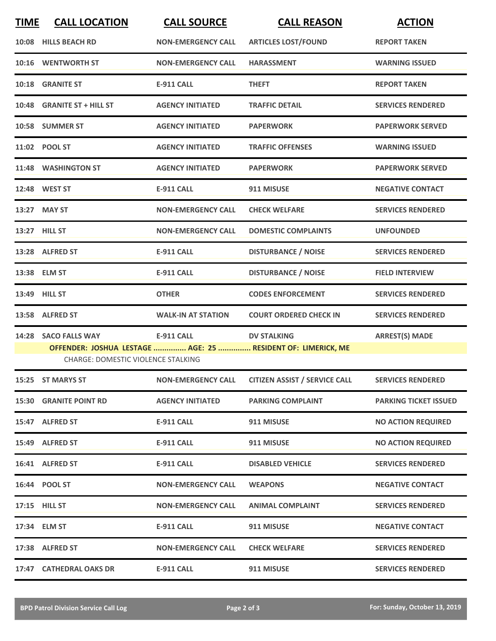| <b>TIME</b> | <b>CALL LOCATION</b>                      | <b>CALL SOURCE</b>        | <b>CALL REASON</b>                                                                 | <b>ACTION</b>                |
|-------------|-------------------------------------------|---------------------------|------------------------------------------------------------------------------------|------------------------------|
|             | 10:08 HILLS BEACH RD                      | <b>NON-EMERGENCY CALL</b> | <b>ARTICLES LOST/FOUND</b>                                                         | <b>REPORT TAKEN</b>          |
|             | 10:16 WENTWORTH ST                        | <b>NON-EMERGENCY CALL</b> | <b>HARASSMENT</b>                                                                  | <b>WARNING ISSUED</b>        |
|             | 10:18 GRANITE ST                          | <b>E-911 CALL</b>         | <b>THEFT</b>                                                                       | <b>REPORT TAKEN</b>          |
|             | 10:48 GRANITE ST + HILL ST                | <b>AGENCY INITIATED</b>   | <b>TRAFFIC DETAIL</b>                                                              | <b>SERVICES RENDERED</b>     |
|             | 10:58 SUMMER ST                           | <b>AGENCY INITIATED</b>   | <b>PAPERWORK</b>                                                                   | <b>PAPERWORK SERVED</b>      |
|             | 11:02 POOL ST                             | <b>AGENCY INITIATED</b>   | <b>TRAFFIC OFFENSES</b>                                                            | <b>WARNING ISSUED</b>        |
|             | 11:48 WASHINGTON ST                       | <b>AGENCY INITIATED</b>   | <b>PAPERWORK</b>                                                                   | <b>PAPERWORK SERVED</b>      |
|             | 12:48 WEST ST                             | <b>E-911 CALL</b>         | 911 MISUSE                                                                         | <b>NEGATIVE CONTACT</b>      |
|             | 13:27 MAY ST                              | <b>NON-EMERGENCY CALL</b> | <b>CHECK WELFARE</b>                                                               | <b>SERVICES RENDERED</b>     |
|             | 13:27 HILL ST                             | <b>NON-EMERGENCY CALL</b> | <b>DOMESTIC COMPLAINTS</b>                                                         | <b>UNFOUNDED</b>             |
|             | 13:28 ALFRED ST                           | <b>E-911 CALL</b>         | <b>DISTURBANCE / NOISE</b>                                                         | <b>SERVICES RENDERED</b>     |
|             | 13:38 ELM ST                              | <b>E-911 CALL</b>         | <b>DISTURBANCE / NOISE</b>                                                         | <b>FIELD INTERVIEW</b>       |
|             | 13:49 HILL ST                             | <b>OTHER</b>              | <b>CODES ENFORCEMENT</b>                                                           | <b>SERVICES RENDERED</b>     |
| 13:58       | <b>ALFRED ST</b>                          | <b>WALK-IN AT STATION</b> | <b>COURT ORDERED CHECK IN</b>                                                      | <b>SERVICES RENDERED</b>     |
| 14:28       | <b>SACO FALLS WAY</b>                     | <b>E-911 CALL</b>         | <b>DV STALKING</b><br>OFFENDER: JOSHUA LESTAGE  AGE: 25  RESIDENT OF: LIMERICK, ME | <b>ARREST(S) MADE</b>        |
|             | <b>CHARGE: DOMESTIC VIOLENCE STALKING</b> |                           |                                                                                    |                              |
|             | 15:25 ST MARYS ST                         | <b>NON-EMERGENCY CALL</b> | <b>CITIZEN ASSIST / SERVICE CALL</b>                                               | <b>SERVICES RENDERED</b>     |
|             | <b>15:30 GRANITE POINT RD</b>             | <b>AGENCY INITIATED</b>   | <b>PARKING COMPLAINT</b>                                                           | <b>PARKING TICKET ISSUED</b> |
|             | 15:47 ALFRED ST                           | <b>E-911 CALL</b>         | 911 MISUSE                                                                         | <b>NO ACTION REQUIRED</b>    |
|             | 15:49 ALFRED ST                           | E-911 CALL                | 911 MISUSE                                                                         | <b>NO ACTION REQUIRED</b>    |
|             | 16:41 ALFRED ST                           | <b>E-911 CALL</b>         | <b>DISABLED VEHICLE</b>                                                            | <b>SERVICES RENDERED</b>     |
|             | 16:44 POOL ST                             | <b>NON-EMERGENCY CALL</b> | <b>WEAPONS</b>                                                                     | <b>NEGATIVE CONTACT</b>      |
|             | 17:15 HILL ST                             | <b>NON-EMERGENCY CALL</b> | <b>ANIMAL COMPLAINT</b>                                                            | <b>SERVICES RENDERED</b>     |
|             | 17:34 ELM ST                              | <b>E-911 CALL</b>         | 911 MISUSE                                                                         | <b>NEGATIVE CONTACT</b>      |
|             | 17:38 ALFRED ST                           | <b>NON-EMERGENCY CALL</b> | <b>CHECK WELFARE</b>                                                               | <b>SERVICES RENDERED</b>     |
|             | 17:47 CATHEDRAL OAKS DR                   | E-911 CALL                | 911 MISUSE                                                                         | <b>SERVICES RENDERED</b>     |